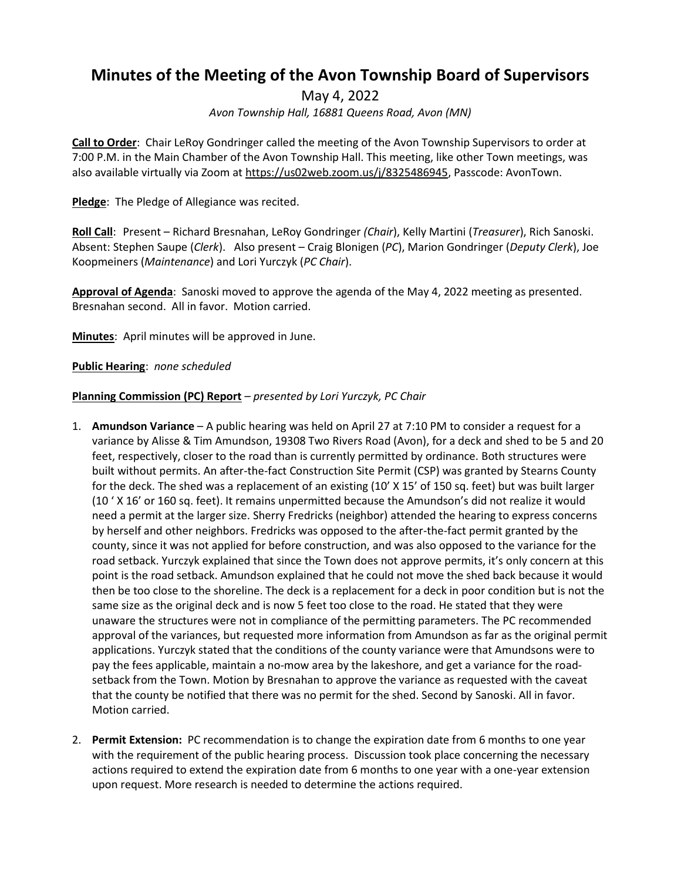# **Minutes of the Meeting of the Avon Township Board of Supervisors**

May 4, 2022

*Avon Township Hall, 16881 Queens Road, Avon (MN)*

**Call to Order**: Chair LeRoy Gondringer called the meeting of the Avon Township Supervisors to order at 7:00 P.M. in the Main Chamber of the Avon Township Hall. This meeting, like other Town meetings, was also available virtually via Zoom at https://us02web.zoom.us/j/8325486945, Passcode: AvonTown.

**Pledge**: The Pledge of Allegiance was recited.

**Roll Call**: Present – Richard Bresnahan, LeRoy Gondringer *(Chair*), Kelly Martini (*Treasurer*), Rich Sanoski. Absent: Stephen Saupe (*Clerk*). Also present – Craig Blonigen (*PC*), Marion Gondringer (*Deputy Clerk*), Joe Koopmeiners (*Maintenance*) and Lori Yurczyk (*PC Chair*).

**Approval of Agenda**: Sanoski moved to approve the agenda of the May 4, 2022 meeting as presented. Bresnahan second. All in favor. Motion carried.

**Minutes**: April minutes will be approved in June.

**Public Hearing**: *none scheduled*

## **Planning Commission (PC) Report** *– presented by Lori Yurczyk, PC Chair*

- 1. **Amundson Variance** A public hearing was held on April 27 at 7:10 PM to consider a request for a variance by Alisse & Tim Amundson, 19308 Two Rivers Road (Avon), for a deck and shed to be 5 and 20 feet, respectively, closer to the road than is currently permitted by ordinance. Both structures were built without permits. An after-the-fact Construction Site Permit (CSP) was granted by Stearns County for the deck. The shed was a replacement of an existing (10' X 15' of 150 sq. feet) but was built larger (10 ' X 16' or 160 sq. feet). It remains unpermitted because the Amundson's did not realize it would need a permit at the larger size. Sherry Fredricks (neighbor) attended the hearing to express concerns by herself and other neighbors. Fredricks was opposed to the after-the-fact permit granted by the county, since it was not applied for before construction, and was also opposed to the variance for the road setback. Yurczyk explained that since the Town does not approve permits, it's only concern at this point is the road setback. Amundson explained that he could not move the shed back because it would then be too close to the shoreline. The deck is a replacement for a deck in poor condition but is not the same size as the original deck and is now 5 feet too close to the road. He stated that they were unaware the structures were not in compliance of the permitting parameters. The PC recommended approval of the variances, but requested more information from Amundson as far as the original permit applications. Yurczyk stated that the conditions of the county variance were that Amundsons were to pay the fees applicable, maintain a no-mow area by the lakeshore, and get a variance for the roadsetback from the Town. Motion by Bresnahan to approve the variance as requested with the caveat that the county be notified that there was no permit for the shed. Second by Sanoski. All in favor. Motion carried.
- 2. **Permit Extension:** PC recommendation is to change the expiration date from 6 months to one year with the requirement of the public hearing process. Discussion took place concerning the necessary actions required to extend the expiration date from 6 months to one year with a one-year extension upon request. More research is needed to determine the actions required.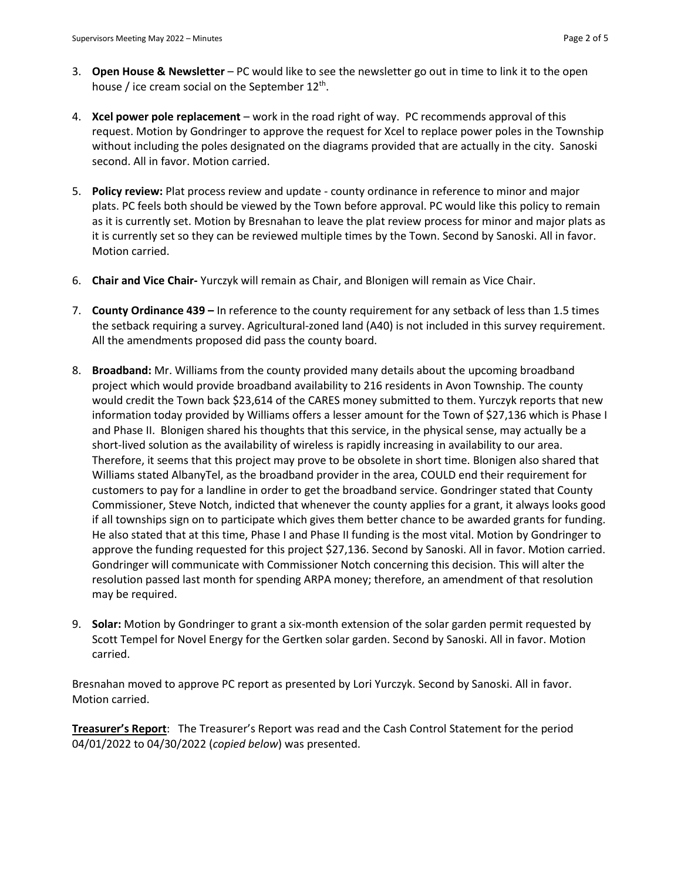- 3. **Open House & Newsletter** PC would like to see the newsletter go out in time to link it to the open house / ice cream social on the September  $12^{th}$ .
- 4. **Xcel power pole replacement**  work in the road right of way. PC recommends approval of this request. Motion by Gondringer to approve the request for Xcel to replace power poles in the Township without including the poles designated on the diagrams provided that are actually in the city. Sanoski second. All in favor. Motion carried.
- 5. **Policy review:** Plat process review and update county ordinance in reference to minor and major plats. PC feels both should be viewed by the Town before approval. PC would like this policy to remain as it is currently set. Motion by Bresnahan to leave the plat review process for minor and major plats as it is currently set so they can be reviewed multiple times by the Town. Second by Sanoski. All in favor. Motion carried.
- 6. **Chair and Vice Chair-** Yurczyk will remain as Chair, and Blonigen will remain as Vice Chair.
- 7. **County Ordinance 439 –** In reference to the county requirement for any setback of less than 1.5 times the setback requiring a survey. Agricultural-zoned land (A40) is not included in this survey requirement. All the amendments proposed did pass the county board.
- 8. **Broadband:** Mr. Williams from the county provided many details about the upcoming broadband project which would provide broadband availability to 216 residents in Avon Township. The county would credit the Town back \$23,614 of the CARES money submitted to them. Yurczyk reports that new information today provided by Williams offers a lesser amount for the Town of \$27,136 which is Phase I and Phase II. Blonigen shared his thoughts that this service, in the physical sense, may actually be a short-lived solution as the availability of wireless is rapidly increasing in availability to our area. Therefore, it seems that this project may prove to be obsolete in short time. Blonigen also shared that Williams stated AlbanyTel, as the broadband provider in the area, COULD end their requirement for customers to pay for a landline in order to get the broadband service. Gondringer stated that County Commissioner, Steve Notch, indicted that whenever the county applies for a grant, it always looks good if all townships sign on to participate which gives them better chance to be awarded grants for funding. He also stated that at this time, Phase I and Phase II funding is the most vital. Motion by Gondringer to approve the funding requested for this project \$27,136. Second by Sanoski. All in favor. Motion carried. Gondringer will communicate with Commissioner Notch concerning this decision. This will alter the resolution passed last month for spending ARPA money; therefore, an amendment of that resolution may be required.
- 9. **Solar:** Motion by Gondringer to grant a six-month extension of the solar garden permit requested by Scott Tempel for Novel Energy for the Gertken solar garden. Second by Sanoski. All in favor. Motion carried.

Bresnahan moved to approve PC report as presented by Lori Yurczyk. Second by Sanoski. All in favor. Motion carried.

**Treasurer's Report**: The Treasurer's Report was read and the Cash Control Statement for the period 04/01/2022 to 04/30/2022 (*copied below*) was presented.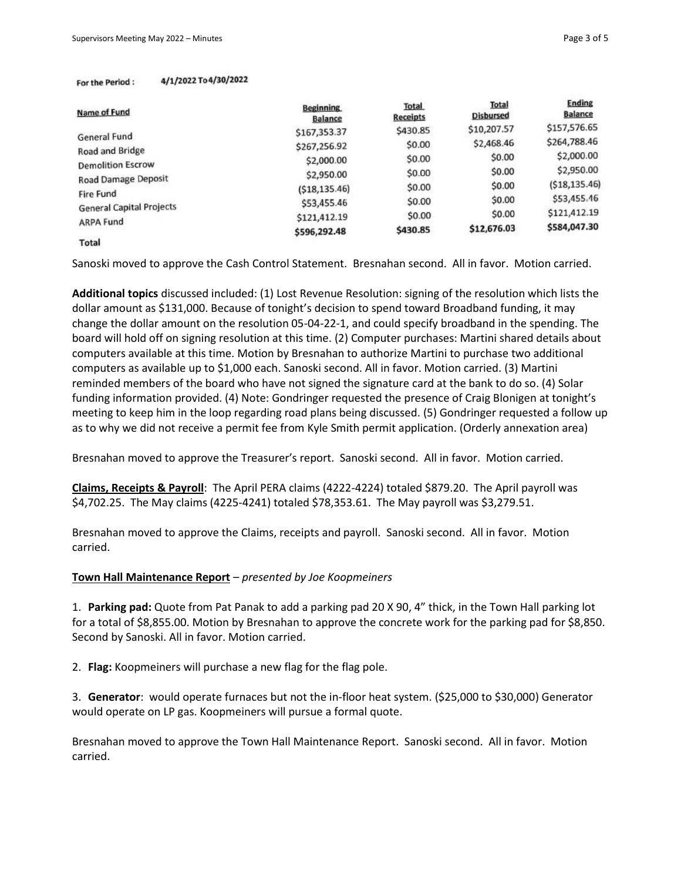#### 4/1/2022 To 4/30/2022 For the Period:

| Name of Fund                    | <b>Beginning</b><br><b>Balance</b> | <b>Total</b><br><b>Receipts</b> | Total<br><b>Disbursed</b> | <b>Ending</b><br><b>Balance</b> |
|---------------------------------|------------------------------------|---------------------------------|---------------------------|---------------------------------|
| General Fund<br>Road and Bridge | \$167,353.37                       | \$430.85                        | \$10,207.57               | \$157,576.65                    |
|                                 | \$267,256.92                       | \$0.00                          | \$2,468.46                | \$264,788.46                    |
|                                 | \$2,000.00                         | \$0.00                          | \$0.00                    | \$2,000.00                      |
| <b>Demolition Escrow</b>        |                                    | \$0.00                          | \$0.00                    | \$2,950.00                      |
| Road Damage Deposit             | \$2,950.00                         |                                 | \$0.00                    | ( \$18, 135.46)                 |
| Fire Fund                       | ( \$18, 135.46)                    | \$0.00                          |                           |                                 |
| <b>General Capital Projects</b> | \$53,455.46                        | \$0.00                          | \$0.00                    | \$53,455.46                     |
| ARPA Fund                       | \$121,412.19                       | \$0.00                          | \$0.00                    | \$121,412.19                    |
|                                 | \$596,292.48                       | \$430.85                        | \$12,676.03               | \$584,047.30                    |
| Total                           |                                    |                                 |                           |                                 |

Sanoski moved to approve the Cash Control Statement. Bresnahan second. All in favor. Motion carried.

**Additional topics** discussed included: (1) Lost Revenue Resolution: signing of the resolution which lists the dollar amount as \$131,000. Because of tonight's decision to spend toward Broadband funding, it may change the dollar amount on the resolution 05-04-22-1, and could specify broadband in the spending. The board will hold off on signing resolution at this time. (2) Computer purchases: Martini shared details about computers available at this time. Motion by Bresnahan to authorize Martini to purchase two additional computers as available up to \$1,000 each. Sanoski second. All in favor. Motion carried. (3) Martini reminded members of the board who have not signed the signature card at the bank to do so. (4) Solar funding information provided. (4) Note: Gondringer requested the presence of Craig Blonigen at tonight's meeting to keep him in the loop regarding road plans being discussed. (5) Gondringer requested a follow up as to why we did not receive a permit fee from Kyle Smith permit application. (Orderly annexation area)

Bresnahan moved to approve the Treasurer's report. Sanoski second. All in favor. Motion carried.

**Claims, Receipts & Payroll**: The April PERA claims (4222-4224) totaled \$879.20. The April payroll was \$4,702.25. The May claims (4225-4241) totaled \$78,353.61. The May payroll was \$3,279.51.

Bresnahan moved to approve the Claims, receipts and payroll. Sanoski second. All in favor. Motion carried.

#### **Town Hall Maintenance Report** – *presented by Joe Koopmeiners*

1. **Parking pad:** Quote from Pat Panak to add a parking pad 20 X 90, 4" thick, in the Town Hall parking lot for a total of \$8,855.00. Motion by Bresnahan to approve the concrete work for the parking pad for \$8,850. Second by Sanoski. All in favor. Motion carried.

2. **Flag:** Koopmeiners will purchase a new flag for the flag pole.

3. **Generator**: would operate furnaces but not the in-floor heat system. (\$25,000 to \$30,000) Generator would operate on LP gas. Koopmeiners will pursue a formal quote.

Bresnahan moved to approve the Town Hall Maintenance Report. Sanoski second. All in favor. Motion carried.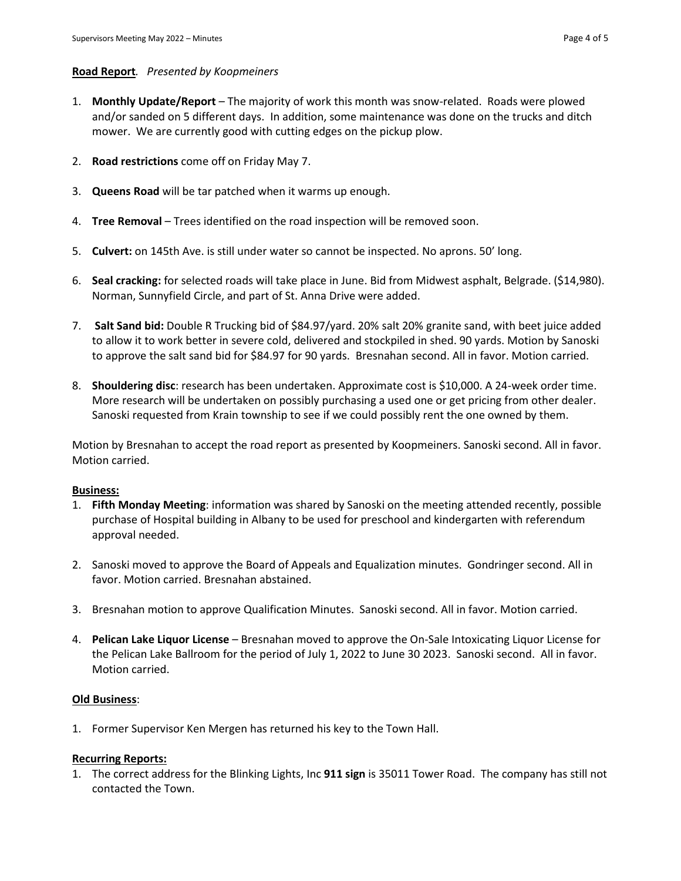### **Road Report***. Presented by Koopmeiners*

- 1. **Monthly Update/Report** The majority of work this month was snow-related. Roads were plowed and/or sanded on 5 different days. In addition, some maintenance was done on the trucks and ditch mower. We are currently good with cutting edges on the pickup plow.
- 2. **Road restrictions** come off on Friday May 7.
- 3. **Queens Road** will be tar patched when it warms up enough.
- 4. **Tree Removal** Trees identified on the road inspection will be removed soon.
- 5. **Culvert:** on 145th Ave. is still under water so cannot be inspected. No aprons. 50' long.
- 6. **Seal cracking:** for selected roads will take place in June. Bid from Midwest asphalt, Belgrade. (\$14,980). Norman, Sunnyfield Circle, and part of St. Anna Drive were added.
- 7. **Salt Sand bid:** Double R Trucking bid of \$84.97/yard. 20% salt 20% granite sand, with beet juice added to allow it to work better in severe cold, delivered and stockpiled in shed. 90 yards. Motion by Sanoski to approve the salt sand bid for \$84.97 for 90 yards. Bresnahan second. All in favor. Motion carried.
- 8. **Shouldering disc**: research has been undertaken. Approximate cost is \$10,000. A 24-week order time. More research will be undertaken on possibly purchasing a used one or get pricing from other dealer. Sanoski requested from Krain township to see if we could possibly rent the one owned by them.

Motion by Bresnahan to accept the road report as presented by Koopmeiners. Sanoski second. All in favor. Motion carried.

#### **Business:**

- 1. **Fifth Monday Meeting**: information was shared by Sanoski on the meeting attended recently, possible purchase of Hospital building in Albany to be used for preschool and kindergarten with referendum approval needed.
- 2. Sanoski moved to approve the Board of Appeals and Equalization minutes. Gondringer second. All in favor. Motion carried. Bresnahan abstained.
- 3. Bresnahan motion to approve Qualification Minutes. Sanoski second. All in favor. Motion carried.
- 4. **Pelican Lake Liquor License**  Bresnahan moved to approve the On-Sale Intoxicating Liquor License for the Pelican Lake Ballroom for the period of July 1, 2022 to June 30 2023. Sanoski second. All in favor. Motion carried.

#### **Old Business**:

1. Former Supervisor Ken Mergen has returned his key to the Town Hall.

#### **Recurring Reports:**

1. The correct address for the Blinking Lights, Inc **911 sign** is 35011 Tower Road. The company has still not contacted the Town.